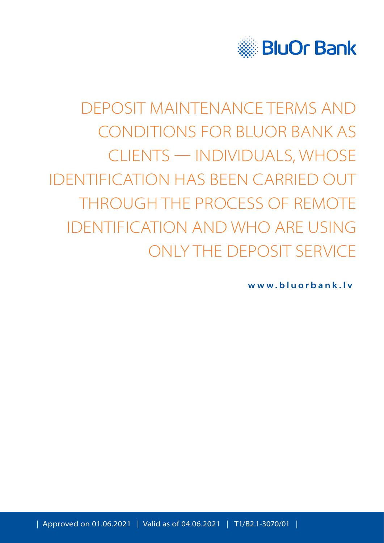

# DEPOSIT MAINTENANCE TERMS AND CONDITIONS FOR BLUOR BANK AS CLIENTS — INDIVIDUALS, WHOSE IDENTIFICATION HAS BEEN CARRIED OUT THROUGH THE PROCESS OF REMOTE IDENTIFICATION AND WHO ARE USING ONLY THE DEPOSIT SERVICE

**www.bluorbank.lv**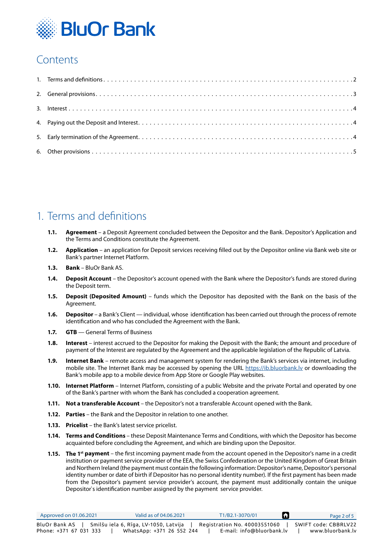

# **Contents**

## 1. Terms and definitions

- **1.1. Agreement** a Deposit Agreement concluded between the Depositor and the Bank. Depositor's Application and the Terms and Conditions constitute the Agreement.
- **1.2. Application** an application for Deposit services receiving filled out by the Depositor online via Bank web site or Bank's partner Internet Platform.
- **1.3. Bank** BluOr Bank AS.
- **1.4. Deposit Account** the Depositor's account opened with the Bank where the Depositor's funds are stored during the Deposit term.
- **1.5. Deposit (Deposited Amount)** funds which the Depositor has deposited with the Bank on the basis of the Agreement.
- **1.6. Depositor** a Bank's Client individual, whose identification has been carried out through the process of remote identification and who has concluded the Agreement with the Bank.
- **1.7. GTB** General Terms of Business
- **1.8. Interest** interest accrued to the Depositor for making the Deposit with the Bank; the amount and procedure of payment of the Interest are regulated by the Agreement and the applicable legislation of the Republic of Latvia.
- **1.9. Internet Bank** remote access and management system for rendering the Bank's services via internet, including mobile site. The Internet Bank may be accessed by opening the URL https://ib.bluorbank.ly or downloading the Bank's mobile app to a mobile device from App Store or Google Play websites.
- **1.10. Internet Platform** Internet Platform, consisting of a public Website and the private Portal and operated by one of the Bank's partner with whom the Bank has concluded a cooperation agreement.
- **1.11. Not a transferable Account** the Depositor's not a transferable Account opened with the Bank.
- **1.12. Parties** the Bank and the Depositor in relation to one another.
- **1.13. Pricelist** the Bank's latest service pricelist.
- **1.14. Terms and Conditions** these Deposit Maintenance Terms and Conditions, with which the Depositor has become acquainted before concluding the Agreement, and which are binding upon the Depositor.
- **1.15.** The 1<sup>st</sup> payment the first incoming payment made from the account opened in the Depositor's name in a credit institution or payment service provider of the EEA, the Swiss Confederation or the United Kingdom of Great Britain and Northern Ireland (the payment must contain the following information: Depositor's name, Depositor's personal identity number or date of birth if Depositor has no personal identity number). If the first payment has been made from the Depositor's payment service provider's account, the payment must additionally contain the unique Depositor`s identification number assigned by the payment service provider.

| Approved on 01.06.2021 | Valid as of 04.06.2021                | T1/B2.1-3070/01              | Page 2 of 5          |
|------------------------|---------------------------------------|------------------------------|----------------------|
| BluOr Bank AS          | Smilšu iela 6, Rīga, LV-1050, Latvija | Registration No. 40003551060 | SWIFT code: CBBRLV22 |
| Phone: +371 67 031 333 | WhatsApp: +371 26 552 244             | E-mail: info@bluorbank.lv    | www.bluorbank.lv     |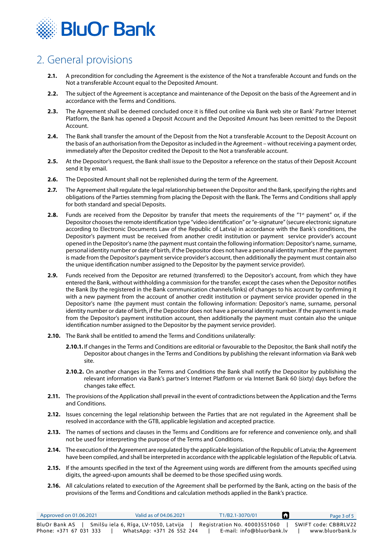<span id="page-2-0"></span>

# 2. General provisions

- **2.1.** A precondition for concluding the Agreement is the existence of the Not a transferable Account and funds on the Not a transferable Account equal to the Deposited Amount.
- **2.2.** The subject of the Agreement is acceptance and maintenance of the Deposit on the basis of the Agreement and in accordance with the Terms and Conditions.
- **2.3.** The Agreement shall be deemed concluded once it is filled out online via Bank web site or Bank' Partner Internet Platform, the Bank has opened a Deposit Account and the Deposited Amount has been remitted to the Deposit Account.
- **2.4.** The Bank shall transfer the amount of the Deposit from the Not a transferable Account to the Deposit Account on the basis of an authorisation from the Depositor as included in the Agreement – without receiving a payment order, immediately after the Depositor credited the Deposit to the Not a transferable account.
- **2.5.** At the Depositor's request, the Bank shall issue to the Depositor a reference on the status of their Deposit Account send it by email.
- **2.6.** The Deposited Amount shall not be replenished during the term of the Agreement.
- **2.7.** The Agreement shall regulate the legal relationship between the Depositor and the Bank, specifying the rights and obligations of the Parties stemming from placing the Deposit with the Bank. The Terms and Conditions shall apply for both standard and special Deposits.
- **2.8.** Funds are received from the Depositor by transfer that meets the requirements of the "1<sup>st</sup> payment" or, if the Depositor chooses the remote identification type "video identification" or "e-signature" (secure electronic signature according to Electronic Documents Law of the Republic of Latvia) in accordance with the Bank's conditions, the Depositor's payment must be received from another credit institution or payment service provider's account opened in the Depositor's name (the payment must contain the following information: Depositor's name, surname, personal identity number or date of birth, if the Depositor does not have a personal identity number. If the payment is made from the Depositor's payment service provider's account, then additionally the payment must contain also the unique identification number assigned to the Depositor by the payment service provider).
- **2.9.** Funds received from the Depositor are returned (transferred) to the Depositor's account, from which they have entered the Bank, without withholding a commission for the transfer, except the cases when the Depositor notifies the Bank (by the registered in the Bank communication channels/links) of changes to his account by confirming it with a new payment from the account of another credit institution or payment service provider opened in the Depositor's name (the payment must contain the following information: Depositor's name, surname, personal identity number or date of birth, if the Depositor does not have a personal identity number. If the payment is made from the Depositor's payment institution account, then additionally the payment must contain also the unique identification number assigned to the Depositor by the payment service provider).
- **2.10.** The Bank shall be entitled to amend the Terms and Conditions unilaterally:
	- **2.10.1.** If changes in the Terms and Conditions are editorial or favourable to the Depositor, the Bank shall notify the Depositor about changes in the Terms and Conditions by publishing the relevant information via Bank web site.
	- **2.10.2.** On another changes in the Terms and Conditions the Bank shall notify the Depositor by publishing the relevant information via Bank's partner's Internet Platform or via Internet Bank 60 (sixty) days before the changes take effect.
- **2.11.** The provisions of the Application shall prevail in the event of contradictions between the Application and the Terms and Conditions.
- **2.12.** Issues concerning the legal relationship between the Parties that are not regulated in the Agreement shall be resolved in accordance with the GTB, applicable legislation and accepted practice.
- **2.13.** The names of sections and clauses in the Terms and Conditions are for reference and convenience only, and shall not be used for interpreting the purpose of the Terms and Conditions.
- **2.14.** The execution of the Agreement are regulated by the applicable legislation of the Republic of Latvia; the Agreement have been compiled, and shall be interpreted in accordance with the applicable legislation of the Republic of Latvia.
- **2.15.** If the amounts specified in the text of the Agreement using words are different from the amounts specified using digits, the agreed-upon amounts shall be deemed to be those specified using words.
- **2.16.** All calculations related to execution of the Agreement shall be performed by the Bank, acting on the basis of the provisions of the Terms and Conditions and calculation methods applied in the Bank's practice.

| Approved on $01.06.2021$ | Valid as of 04.06.2021                | T1/B2.1-3070/01              | Page 3 of 5          |
|--------------------------|---------------------------------------|------------------------------|----------------------|
| BluOr Bank AS            | Smilšu iela 6, Rīga, LV-1050, Latvija | Registration No. 40003551060 | SWIFT code: CBBRLV22 |
| Phone: +371 67 031 333   | WhatsApp: +371 26 552 244             | E-mail: info@bluorbank.lv    | www.bluorbank.lv     |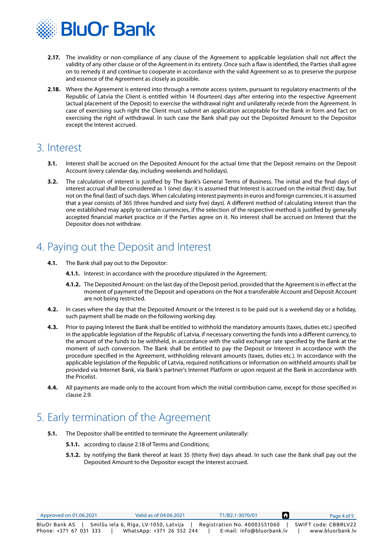<span id="page-3-0"></span>

- **2.17.** The invalidity or non-compliance of any clause of the Agreement to applicable legislation shall not affect the validity of any other clause or of the Agreement in its entirety. Once such a flaw is identified, the Parties shall agree on to remedy it and continue to cooperate in accordance with the valid Agreement so as to preserve the purpose and essence of the Agreement as closely as possible.
- **2.18.** Where the Agreement is entered into through a remote access system, pursuant to regulatory enactments of the Republic of Latvia the Client is entitled within 14 (fourteen) days after entering into the respective Agreement (actual placement of the Deposit) to exercise the withdrawal right and unilaterally recede from the Agreement. In case of exercising such right the Client must submit an application acceptable for the Bank in form and fact on exercising the right of withdrawal. In such case the Bank shall pay out the Deposited Amount to the Depositor except the Interest accrued.

#### 3. Interest

- **3.1.** Interest shall be accrued on the Deposited Amount for the actual time that the Deposit remains on the Deposit Account (every calendar day, including weekends and holidays).
- **3.2.** The calculation of interest is justified by The Bank's General Terms of Business. The initial and the final days of interest accrual shall be considered as 1 (one) day; it is assumed that Interest is accrued on the initial (first) day, but not on the final (last) of such days. When calculating interest payments in euros and foreign currencies, it is assumed that a year consists of 365 (three hundred and sixty five) days). A different method of calculating interest than the one established may apply to certain currencies, if the selection of the respective method is justified by generally accepted financial market practice or if the Parties agree on it. No interest shall be accrued on Interest that the Depositor does not withdraw.

## 4. Paying out the Deposit and Interest

- **4.1.** The Bank shall pay out to the Depositor:
	- **4.1.1.** Interest: in accordance with the procedure stipulated in the Agreement:
	- **4.1.2.** The Deposited Amount: on the last day of the Deposit period, provided that the Agreement is in effect at the moment of payment of the Deposit and operations on the Not a transferable Account and Deposit Account are not being restricted.
- **4.2.** In cases where the day that the Deposited Amount or the Interest is to be paid out is a weekend day or a holiday, such payment shall be made on the following working day.
- **4.3.** Prior to paying Interest the Bank shall be entitled to withhold the mandatory amounts (taxes, duties etc.) specified in the applicable legislation of the Republic of Latvia, if necessary converting the funds into a different currency, to the amount of the funds to be withheld, in accordance with the valid exchange rate specified by the Bank at the moment of such conversion. The Bank shall be entitled to pay the Deposit or Interest in accordance with the procedure specified in the Agreement, withholding relevant amounts (taxes, duties etc.). In accordance with the applicable legislation of the Republic of Latvia, required notifications or information on withheld amounts shall be provided via Internet Bank, via Bank's partner's Internet Platform or upon request at the Bank in accordance with the Pricelist.
- **4.4.** All payments are made only to the account from which the initial contribution came, except for those specified in clause 2.9.

### 5. Early termination of the Agreement

- **5.1.** The Depositor shall be entitled to terminate the Agreement unilaterally:
	- **5.1.1.** according to clause 2.18 of Terms and Conditions;
	- **5.1.2.** by notifying the Bank thereof at least 35 (thirty five) days ahead. In such case the Bank shall pay out the Deposited Amount to the Depositor except the Interest accrued.